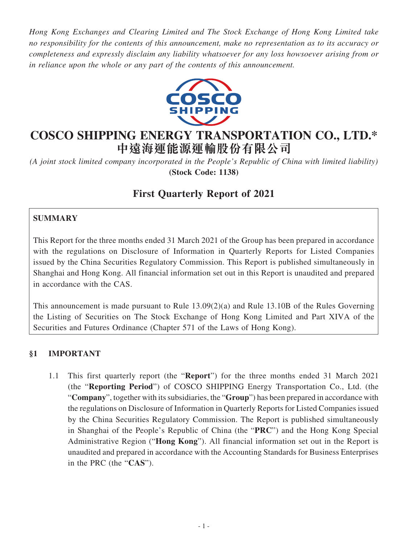*Hong Kong Exchanges and Clearing Limited and The Stock Exchange of Hong Kong Limited take no responsibility for the contents of this announcement, make no representation as to its accuracy or completeness and expressly disclaim any liability whatsoever for any loss howsoever arising from or in reliance upon the whole or any part of the contents of this announcement.*



# **COSCO SHIPPING ENERGY TRANSPORTATION CO., LTD.\* 中遠海運能源運輸股份有限公司**

*(A joint stock limited company incorporated in the People's Republic of China with limited liability)* **(Stock Code: 1138)**

# **First Quarterly Report of 2021**

## **SUMMARY**

This Report for the three months ended 31 March 2021 of the Group has been prepared in accordance with the regulations on Disclosure of Information in Quarterly Reports for Listed Companies issued by the China Securities Regulatory Commission. This Report is published simultaneously in Shanghai and Hong Kong. All financial information set out in this Report is unaudited and prepared in accordance with the CAS.

This announcement is made pursuant to Rule 13.09(2)(a) and Rule 13.10B of the Rules Governing the Listing of Securities on The Stock Exchange of Hong Kong Limited and Part XIVA of the Securities and Futures Ordinance (Chapter 571 of the Laws of Hong Kong).

### **§1 IMPORTANT**

1.1 This first quarterly report (the "**Report**") for the three months ended 31 March 2021 (the "**Reporting Period**") of COSCO SHIPPING Energy Transportation Co., Ltd. (the "**Company**", together with its subsidiaries, the "**Group**") has been prepared in accordance with the regulations on Disclosure of Information in Quarterly Reports for Listed Companies issued by the China Securities Regulatory Commission. The Report is published simultaneously in Shanghai of the People's Republic of China (the "**PRC**") and the Hong Kong Special Administrative Region ("**Hong Kong**"). All financial information set out in the Report is unaudited and prepared in accordance with the Accounting Standards for Business Enterprises in the PRC (the "**CAS**").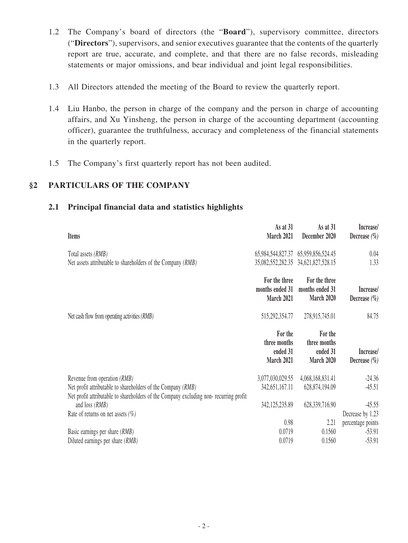- 1.2 The Company's board of directors (the "**Board**"), supervisory committee, directors ("**Directors**"), supervisors, and senior executives guarantee that the contents of the quarterly report are true, accurate, and complete, and that there are no false records, misleading statements or major omissions, and bear individual and joint legal responsibilities.
- 1.3 All Directors attended the meeting of the Board to review the quarterly report.
- 1.4 Liu Hanbo, the person in charge of the company and the person in charge of accounting affairs, and Xu Yinsheng, the person in charge of the accounting department (accounting officer), guarantee the truthfulness, accuracy and completeness of the financial statements in the quarterly report.
- 1.5 The Company's first quarterly report has not been audited.

### **§2 PARTICULARS OF THE COMPANY**

| <b>Items</b>                                                                                                                                          | As at 31<br>March 2021                            | As at 31<br>December 2020                             | Increase/<br>Decrease $(\% )$ |
|-------------------------------------------------------------------------------------------------------------------------------------------------------|---------------------------------------------------|-------------------------------------------------------|-------------------------------|
| Total assets (RMB)                                                                                                                                    |                                                   | 65,984,544,827.37 65,959,856,524.45                   | 0.04                          |
| Net assets attributable to shareholders of the Company (RMB)                                                                                          |                                                   | 35,082,552,282.35 34,621,827,528.15                   | 1.33                          |
|                                                                                                                                                       | For the three<br>months ended 31<br>March 2021    | For the three<br>months ended 31<br><b>March 2020</b> | Increase/<br>Decrease $(\% )$ |
| Net cash flow from operating activities (RMB)                                                                                                         | 515,292,354.77                                    | 278,915,745.01                                        | 84.75                         |
|                                                                                                                                                       | For the<br>three months<br>ended 31<br>March 2021 | For the<br>three months<br>ended 31<br>March 2020     | Increase/<br>Decrease $(\% )$ |
| Revenue from operation (RMB)                                                                                                                          | 3,077,030,029.55                                  | 4,068,168,831.41                                      | $-24.36$                      |
| Net profit attributable to shareholders of the Company (RMB)<br>Net profit attributable to shareholders of the Company excluding non-recurring profit | 342,651,167.11                                    | 628,874,194.09                                        | $-45.51$                      |
| and loss $(RMB)$                                                                                                                                      | 342, 125, 235.89                                  | 628,339,716.90                                        | $-45.55$                      |
| Rate of returns on net assets $(\% )$                                                                                                                 |                                                   |                                                       | Decrease by 1.23              |
|                                                                                                                                                       | 0.98                                              | 2.21                                                  | percentage points             |
| Basic earnings per share (RMB)                                                                                                                        | 0.0719<br>0.0719                                  | 0.1560<br>0.1560                                      | $-53.91$<br>$-53.91$          |
| Diluted earnings per share (RMB)                                                                                                                      |                                                   |                                                       |                               |

#### **2.1 Principal financial data and statistics highlights**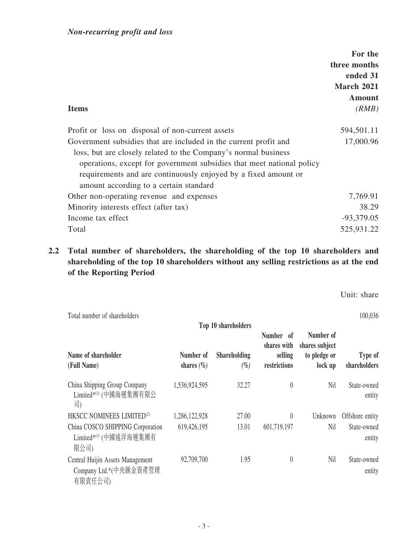| <b>Items</b>                                                          | For the<br>three months<br>ended 31<br>March 2021<br>Amount<br>(RMB) |
|-----------------------------------------------------------------------|----------------------------------------------------------------------|
| Profit or loss on disposal of non-current assets                      | 594,501.11                                                           |
| Government subsidies that are included in the current profit and      | 17,000.96                                                            |
| loss, but are closely related to the Company's normal business        |                                                                      |
| operations, except for government subsidies that meet national policy |                                                                      |
| requirements and are continuously enjoyed by a fixed amount or        |                                                                      |
| amount according to a certain standard                                |                                                                      |
| Other non-operating revenue and expenses                              | 7,769.91                                                             |
| Minority interests effect (after tax)                                 | 38.29                                                                |
| Income tax effect                                                     | $-93,379.05$                                                         |
| Total                                                                 | 525,931.22                                                           |

## **2.2 Total number of shareholders, the shareholding of the top 10 shareholders and shareholding of the top 10 shareholders without any selling restrictions as at the end of the Reporting Period**

Unit: share

| Total number of shareholders                                          |                             |                               |                                                     |                                                        | 100,036                 |
|-----------------------------------------------------------------------|-----------------------------|-------------------------------|-----------------------------------------------------|--------------------------------------------------------|-------------------------|
|                                                                       |                             | Top 10 shareholders           |                                                     |                                                        |                         |
| Name of shareholder<br>(Full Name)                                    | Number of<br>shares $(\% )$ | <b>Shareholding</b><br>$(\%)$ | Number of<br>shares with<br>selling<br>restrictions | Number of<br>shares subject<br>to pledge or<br>lock up | Type of<br>shareholders |
| China Shipping Group Company<br>Limited*(1) (中國海運集團有限公<br>司)          | 1,536,924,595               | 32.27                         | $\theta$                                            | Nil                                                    | State-owned<br>entity   |
| HKSCC NOMINEES LIMITED <sup>(2)</sup>                                 | 1,286,122,928               | 27.00                         | $\theta$                                            | Unknown                                                | Offshore entity         |
| China COSCO SHIPPING Corporation<br>Limited*(1) (中國遠洋海運集團有<br>限公司)    | 619,426,195                 | 13.01                         | 601,719,197                                         | Nil                                                    | State-owned<br>entity   |
| Central Huijin Assets Management<br>Company Ltd.*(中央匯金資產管理<br>有限責任公司) | 92,709,700                  | 1.95                          | $\theta$                                            | Nil                                                    | State-owned<br>entity   |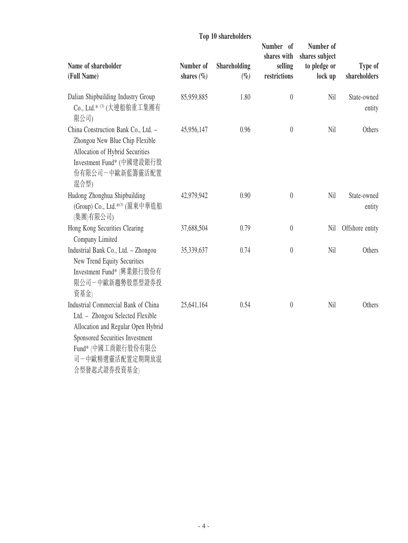|                                                                                                                                                                                                          |                             | TOP TO SHALLMOUTS      | Number of                              | Number of                                 |                         |
|----------------------------------------------------------------------------------------------------------------------------------------------------------------------------------------------------------|-----------------------------|------------------------|----------------------------------------|-------------------------------------------|-------------------------|
| Name of shareholder<br>(Full Name)                                                                                                                                                                       | Number of<br>shares $(\% )$ | Shareholding<br>$(\%)$ | shares with<br>selling<br>restrictions | shares subject<br>to pledge or<br>lock up | Type of<br>shareholders |
| Dalian Shipbuilding Industry Group<br>Co., Ltd.* (3) (大連船舶重工集團有<br>限公司)                                                                                                                                  | 85,959,885                  | 1.80                   | $\theta$                               | Nil                                       | State-owned<br>entity   |
| China Construction Bank Co., Ltd. -<br>Zhongou New Blue Chip Flexible<br>Allocation of Hybrid Securities<br>Investment Fund* (中國建設銀行股<br>份有限公司一中歐新藍籌靈活配置<br>混合型)                                         | 45,956,147                  | 0.96                   | $\boldsymbol{0}$                       | Nil                                       | Others                  |
| Hudong Zhonghua Shipbuilding<br>(Group) Co., Ltd.* <sup>(3)</sup> (滬東中華造船<br>(集團)有限公司)                                                                                                                   | 42,979,942                  | 0.90                   | $\boldsymbol{0}$                       | Nil                                       | State-owned<br>entity   |
| Hong Kong Securities Clearing<br>Company Limited                                                                                                                                                         | 37,688,504                  | 0.79                   | $\theta$                               | Nil                                       | Offshore entity         |
| Industrial Bank Co., Ltd. - Zhongou<br>New Trend Equity Securities<br>Investment Fund* (興業銀行股份有<br>限公司一中歐新趨勢股票型證券投<br>資基金)                                                                               | 35,339,637                  | 0.74                   | $\theta$                               | Nil                                       | Others                  |
| Industrial Commercial Bank of China<br>Ltd. - Zhongou Selected Flexible<br>Allocation and Regular Open Hybrid<br>Sponsored Securities Investment<br>Fund* (中國工商銀行股份有限公<br>司一中歐精選靈活配置定期開放混<br>合型發起式證券投資基金 | 25,641,164                  | 0.54                   | $\theta$                               | Nil                                       | Others                  |

## **Top 10 shareholders**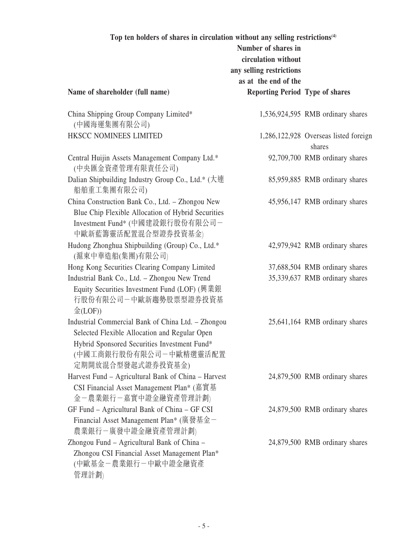| Top ten holders of shares in circulation without any selling restrictions <sup>(4)</sup><br>Number of shares in<br>circulation without<br>any selling restrictions<br>as at the end of the         |                                        |                                                 |  |
|----------------------------------------------------------------------------------------------------------------------------------------------------------------------------------------------------|----------------------------------------|-------------------------------------------------|--|
| Name of shareholder (full name)                                                                                                                                                                    | <b>Reporting Period Type of shares</b> |                                                 |  |
| China Shipping Group Company Limited*<br>(中國海運集團有限公司)                                                                                                                                              |                                        | 1,536,924,595 RMB ordinary shares               |  |
| HKSCC NOMINEES LIMITED                                                                                                                                                                             |                                        | 1,286,122,928 Overseas listed foreign<br>shares |  |
| Central Huijin Assets Management Company Ltd.*<br>(中央匯金資產管理有限責任公司)                                                                                                                                 |                                        | 92,709,700 RMB ordinary shares                  |  |
| Dalian Shipbuilding Industry Group Co., Ltd.* (大連<br>船舶重工集團有限公司)                                                                                                                                   |                                        | 85,959,885 RMB ordinary shares                  |  |
| China Construction Bank Co., Ltd. - Zhongou New<br>Blue Chip Flexible Allocation of Hybrid Securities<br>Investment Fund* (中國建設銀行股份有限公司-<br>中歐新藍籌靈活配置混合型證券投資基金)                                    |                                        | 45,956,147 RMB ordinary shares                  |  |
| Hudong Zhonghua Shipbuilding (Group) Co., Ltd.*<br>(滬東中華造船(集團)有限公司)                                                                                                                                |                                        | 42,979,942 RMB ordinary shares                  |  |
| Hong Kong Securities Clearing Company Limited                                                                                                                                                      |                                        | 37,688,504 RMB ordinary shares                  |  |
| Industrial Bank Co., Ltd. - Zhongou New Trend<br>Equity Securities Investment Fund (LOF) (興業銀<br>行股份有限公司一中歐新趨勢股票型證券投資基<br>$\hat{\mathbb{E}}(LOF))$                                                 |                                        | 35,339,637 RMB ordinary shares                  |  |
| Industrial Commercial Bank of China Ltd. - Zhongou<br>Selected Flexible Allocation and Regular Open<br>Hybrid Sponsored Securities Investment Fund*<br>(中國工商銀行股份有限公司-中歐精選靈活配置<br>定期開放混合型發起式證券投資基金) |                                        | 25,641,164 RMB ordinary shares                  |  |
| Harvest Fund - Agricultural Bank of China - Harvest<br>CSI Financial Asset Management Plan* (嘉實基<br>金-農業銀行-嘉實中證金融資產管理計劃)                                                                           |                                        | 24,879,500 RMB ordinary shares                  |  |
| GF Fund – Agricultural Bank of China – GF CSI<br>Financial Asset Management Plan* (廣發基金–<br>農業銀行-廣發中證金融資產管理計劃)                                                                                     |                                        | 24,879,500 RMB ordinary shares                  |  |
| Zhongou Fund – Agricultural Bank of China –<br>Zhongou CSI Financial Asset Management Plan*<br>(中歐基金-農業銀行-中歐中證金融資產<br>管理計劃)                                                                        |                                        | 24,879,500 RMB ordinary shares                  |  |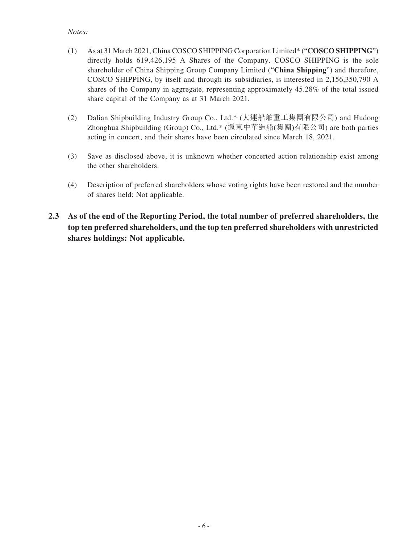#### *Notes:*

- (1) As at 31 March 2021, China COSCO SHIPPING Corporation Limited\* ("**COSCO SHIPPING**") directly holds 619,426,195 A Shares of the Company. COSCO SHIPPING is the sole shareholder of China Shipping Group Company Limited ("**China Shipping**") and therefore, COSCO SHIPPING, by itself and through its subsidiaries, is interested in 2,156,350,790 A shares of the Company in aggregate, representing approximately 45.28% of the total issued share capital of the Company as at 31 March 2021.
- (2) Dalian Shipbuilding Industry Group Co., Ltd.\* (大連船舶重工集團有限公司) and Hudong Zhonghua Shipbuilding (Group) Co., Ltd.\* (滬東中華造船(集團)有限公司) are both parties acting in concert, and their shares have been circulated since March 18, 2021.
- (3) Save as disclosed above, it is unknown whether concerted action relationship exist among the other shareholders.
- (4) Description of preferred shareholders whose voting rights have been restored and the number of shares held: Not applicable.
- **2.3 As of the end of the Reporting Period, the total number of preferred shareholders, the top ten preferred shareholders, and the top ten preferred shareholders with unrestricted shares holdings: Not applicable.**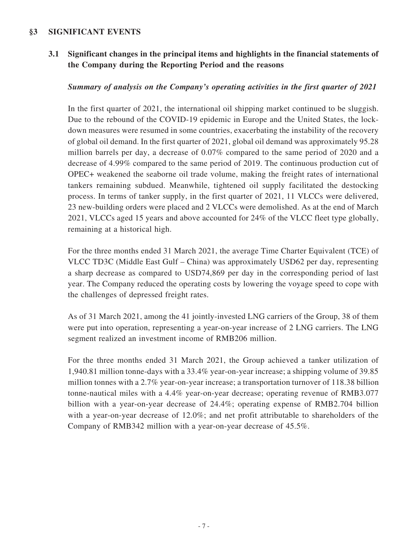### **§3 SIGNIFICANT EVENTS**

**3.1 Significant changes in the principal items and highlights in the financial statements of the Company during the Reporting Period and the reasons**

### *Summary of analysis on the Company's operating activities in the first quarter of 2021*

In the first quarter of 2021, the international oil shipping market continued to be sluggish. Due to the rebound of the COVID-19 epidemic in Europe and the United States, the lockdown measures were resumed in some countries, exacerbating the instability of the recovery of global oil demand. In the first quarter of 2021, global oil demand was approximately 95.28 million barrels per day, a decrease of 0.07% compared to the same period of 2020 and a decrease of 4.99% compared to the same period of 2019. The continuous production cut of OPEC+ weakened the seaborne oil trade volume, making the freight rates of international tankers remaining subdued. Meanwhile, tightened oil supply facilitated the destocking process. In terms of tanker supply, in the first quarter of 2021, 11 VLCCs were delivered, 23 new-building orders were placed and 2 VLCCs were demolished. As at the end of March 2021, VLCCs aged 15 years and above accounted for 24% of the VLCC fleet type globally, remaining at a historical high.

For the three months ended 31 March 2021, the average Time Charter Equivalent (TCE) of VLCC TD3C (Middle East Gulf – China) was approximately USD62 per day, representing a sharp decrease as compared to USD74,869 per day in the corresponding period of last year. The Company reduced the operating costs by lowering the voyage speed to cope with the challenges of depressed freight rates.

As of 31 March 2021, among the 41 jointly-invested LNG carriers of the Group, 38 of them were put into operation, representing a year-on-year increase of 2 LNG carriers. The LNG segment realized an investment income of RMB206 million.

For the three months ended 31 March 2021, the Group achieved a tanker utilization of 1,940.81 million tonne-days with a 33.4% year-on-year increase; a shipping volume of 39.85 million tonnes with a 2.7% year-on-year increase; a transportation turnover of 118.38 billion tonne-nautical miles with a 4.4% year-on-year decrease; operating revenue of RMB3.077 billion with a year-on-year decrease of 24.4%; operating expense of RMB2.704 billion with a year-on-year decrease of 12.0%; and net profit attributable to shareholders of the Company of RMB342 million with a year-on-year decrease of 45.5%.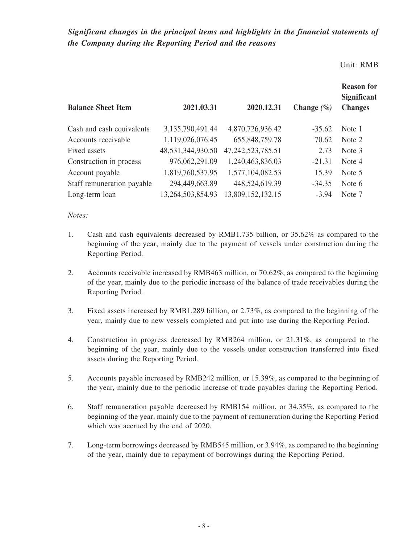*Significant changes in the principal items and highlights in the financial statements of the Company during the Reporting Period and the reasons*

#### Unit: RMB

|                            |                   |                       |                | <b>Reason for</b><br><b>Significant</b> |
|----------------------------|-------------------|-----------------------|----------------|-----------------------------------------|
| <b>Balance Sheet Item</b>  | 2021.03.31        | 2020.12.31            | Change $(\% )$ | <b>Changes</b>                          |
| Cash and cash equivalents  | 3,135,790,491.44  | 4,870,726,936.42      | $-35.62$       | Note 1                                  |
| Accounts receivable        | 1,119,026,076.45  | 655,848,759.78        | 70.62          | Note 2                                  |
| Fixed assets               | 48,531,344,930.50 | 47, 242, 523, 785. 51 | 2.73           | Note 3                                  |
| Construction in process    | 976,062,291.09    | 1,240,463,836.03      | $-21.31$       | Note 4                                  |
| Account payable            | 1,819,760,537.95  | 1,577,104,082.53      | 15.39          | Note 5                                  |
| Staff remuneration payable | 294,449,663.89    | 448,524,619.39        | $-34.35$       | Note 6                                  |
| Long-term loan             | 13,264,503,854.93 | 13,809,152,132.15     | $-3.94$        | Note 7                                  |

#### *Notes:*

- 1. Cash and cash equivalents decreased by RMB1.735 billion, or 35.62% as compared to the beginning of the year, mainly due to the payment of vessels under construction during the Reporting Period.
- 2. Accounts receivable increased by RMB463 million, or 70.62%, as compared to the beginning of the year, mainly due to the periodic increase of the balance of trade receivables during the Reporting Period.
- 3. Fixed assets increased by RMB1.289 billion, or 2.73%, as compared to the beginning of the year, mainly due to new vessels completed and put into use during the Reporting Period.
- 4. Construction in progress decreased by RMB264 million, or 21.31%, as compared to the beginning of the year, mainly due to the vessels under construction transferred into fixed assets during the Reporting Period.
- 5. Accounts payable increased by RMB242 million, or 15.39%, as compared to the beginning of the year, mainly due to the periodic increase of trade payables during the Reporting Period.
- 6. Staff remuneration payable decreased by RMB154 million, or 34.35%, as compared to the beginning of the year, mainly due to the payment of remuneration during the Reporting Period which was accrued by the end of 2020.
- 7. Long-term borrowings decreased by RMB545 million, or 3.94%, as compared to the beginning of the year, mainly due to repayment of borrowings during the Reporting Period.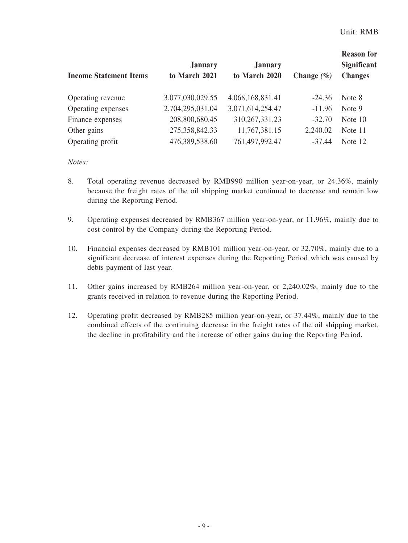| <b>Significant</b><br><b>Changes</b> |
|--------------------------------------|
| Note 8                               |
| Note 9                               |
| Note 10                              |
| Note 11                              |
| Note 12                              |
|                                      |

#### *Notes:*

- 8. Total operating revenue decreased by RMB990 million year-on-year, or 24.36%, mainly because the freight rates of the oil shipping market continued to decrease and remain low during the Reporting Period.
- 9. Operating expenses decreased by RMB367 million year-on-year, or 11.96%, mainly due to cost control by the Company during the Reporting Period.
- 10. Financial expenses decreased by RMB101 million year-on-year, or 32.70%, mainly due to a significant decrease of interest expenses during the Reporting Period which was caused by debts payment of last year.
- 11. Other gains increased by RMB264 million year-on-year, or 2,240.02%, mainly due to the grants received in relation to revenue during the Reporting Period.
- 12. Operating profit decreased by RMB285 million year-on-year, or 37.44%, mainly due to the combined effects of the continuing decrease in the freight rates of the oil shipping market, the decline in profitability and the increase of other gains during the Reporting Period.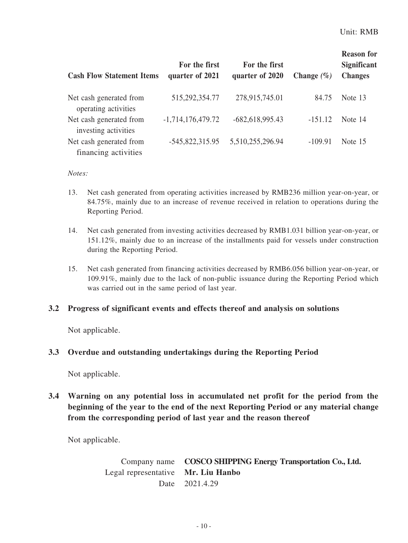| <b>Cash Flow Statement Items</b>                | For the first<br>quarter of 2021 | For the first<br>quarter of 2020 | Change $(\% )$ | <b>Reason for</b><br><b>Significant</b><br><b>Changes</b> |
|-------------------------------------------------|----------------------------------|----------------------------------|----------------|-----------------------------------------------------------|
| Net cash generated from<br>operating activities | 515,292,354.77                   | 278,915,745.01                   | 84.75          | Note 13                                                   |
| Net cash generated from<br>investing activities | $-1,714,176,479.72$              | $-682,618,995.43$                | $-151.12$      | Note 14                                                   |
| Net cash generated from<br>financing activities | $-545,822,315.95$                | 5,510,255,296.94                 | $-109.91$      | Note 15                                                   |

#### *Notes:*

- 13. Net cash generated from operating activities increased by RMB236 million year-on-year, or 84.75%, mainly due to an increase of revenue received in relation to operations during the Reporting Period.
- 14. Net cash generated from investing activities decreased by RMB1.031 billion year-on-year, or 151.12%, mainly due to an increase of the installments paid for vessels under construction during the Reporting Period.
- 15. Net cash generated from financing activities decreased by RMB6.056 billion year-on-year, or 109.91%, mainly due to the lack of non-public issuance during the Reporting Period which was carried out in the same period of last year.

### **3.2 Progress of significant events and effects thereof and analysis on solutions**

Not applicable.

### **3.3 Overdue and outstanding undertakings during the Reporting Period**

Not applicable.

### **3.4 Warning on any potential loss in accumulated net profit for the period from the beginning of the year to the end of the next Reporting Period or any material change from the corresponding period of last year and the reason thereof**

Not applicable.

Company name **COSCO SHIPPING Energy Transportation Co., Ltd.** Legal representative **Mr. Liu Hanbo** Date 2021.4.29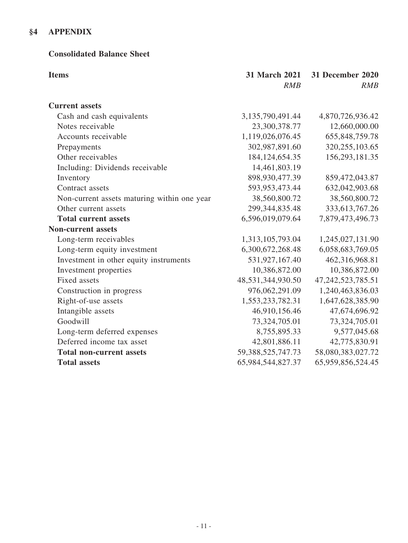## **§4 APPENDIX**

### **Consolidated Balance Sheet**

| <b>Items</b>                                | 31 March 2021<br>RMB  | <b>31 December 2020</b><br>RMB |
|---------------------------------------------|-----------------------|--------------------------------|
| <b>Current assets</b>                       |                       |                                |
| Cash and cash equivalents                   | 3,135,790,491.44      | 4,870,726,936.42               |
| Notes receivable                            | 23,300,378.77         | 12,660,000.00                  |
| Accounts receivable                         | 1,119,026,076.45      | 655,848,759.78                 |
| Prepayments                                 | 302,987,891.60        | 320, 255, 103.65               |
| Other receivables                           | 184, 124, 654. 35     | 156,293,181.35                 |
| Including: Dividends receivable             | 14,461,803.19         |                                |
| Inventory                                   | 898,930,477.39        | 859,472,043.87                 |
| Contract assets                             | 593,953,473.44        | 632,042,903.68                 |
| Non-current assets maturing within one year | 38,560,800.72         | 38,560,800.72                  |
| Other current assets                        | 299, 344, 835. 48     | 333, 613, 767. 26              |
| <b>Total current assets</b>                 | 6,596,019,079.64      | 7,879,473,496.73               |
| <b>Non-current assets</b>                   |                       |                                |
| Long-term receivables                       | 1,313,105,793.04      | 1,245,027,131.90               |
| Long-term equity investment                 | 6,300,672,268.48      | 6,058,683,769.05               |
| Investment in other equity instruments      | 531,927,167.40        | 462,316,968.81                 |
| Investment properties                       | 10,386,872.00         | 10,386,872.00                  |
| <b>Fixed assets</b>                         | 48,531,344,930.50     | 47, 242, 523, 785. 51          |
| Construction in progress                    | 976,062,291.09        | 1,240,463,836.03               |
| Right-of-use assets                         | 1,553,233,782.31      | 1,647,628,385.90               |
| Intangible assets                           | 46,910,156.46         | 47,674,696.92                  |
| Goodwill                                    | 73,324,705.01         | 73,324,705.01                  |
| Long-term deferred expenses                 | 8,755,895.33          | 9,577,045.68                   |
| Deferred income tax asset                   | 42,801,886.11         | 42,775,830.91                  |
| <b>Total non-current assets</b>             | 59, 388, 525, 747. 73 | 58,080,383,027.72              |
| <b>Total assets</b>                         | 65,984,544,827.37     | 65,959,856,524.45              |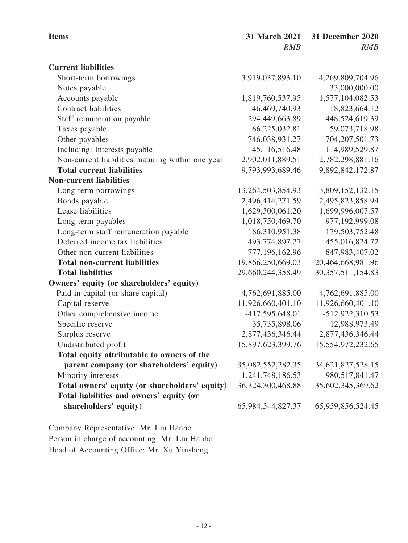| <b>Items</b>                                     | 31 March 2021        | <b>31 December 2020</b> |
|--------------------------------------------------|----------------------|-------------------------|
|                                                  | RMB                  | RMB                     |
| <b>Current liabilities</b>                       |                      |                         |
| Short-term borrowings                            | 3,919,037,893.10     | 4,269,809,704.96        |
| Notes payable                                    |                      | 33,000,000.00           |
| Accounts payable                                 | 1,819,760,537.95     | 1,577,104,082.53        |
| <b>Contract liabilities</b>                      | 46,469,740.93        | 18,823,664.12           |
| Staff remuneration payable                       | 294,449,663.89       | 448,524,619.39          |
| Taxes payable                                    | 66,225,032.81        | 59,073,718.98           |
| Other payables                                   | 746,038,931.27       | 704, 207, 501. 73       |
| Including: Interests payable                     | 145, 116, 516. 48    | 114,989,529.87          |
| Non-current liabilities maturing within one year | 2,902,011,889.51     | 2,782,298,881.16        |
| <b>Total current liabilities</b>                 | 9,793,993,689.46     | 9,892,842,172.87        |
| <b>Non-current liabilities</b>                   |                      |                         |
| Long-term borrowings                             | 13,264,503,854.93    | 13,809,152,132.15       |
| Bonds payable                                    | 2,496,414,271.59     | 2,495,823,858.94        |
| Lease liabilities                                | 1,629,300,061.20     | 1,699,996,007.57        |
| Long-term payables                               | 1,018,750,469.70     | 977,192,999.08          |
| Long-term staff remuneration payable             | 186,310,951.38       | 179,503,752.48          |
| Deferred income tax liabilities                  | 493,774,897.27       | 455,016,824.72          |
| Other non-current liabilities                    | 777,196,162.96       | 847,983,407.02          |
| <b>Total non-current liabilities</b>             | 19,866,250,669.03    | 20,464,668,981.96       |
| <b>Total liabilities</b>                         | 29,660,244,358.49    | 30, 357, 511, 154.83    |
| Owners' equity (or shareholders' equity)         |                      |                         |
| Paid in capital (or share capital)               | 4,762,691,885.00     | 4,762,691,885.00        |
| Capital reserve                                  | 11,926,660,401.10    | 11,926,660,401.10       |
| Other comprehensive income                       | -417,595,648.01      | $-512,922,310.53$       |
| Specific reserve                                 | 35,735,898.06        | 12,988,973.49           |
| Surplus reserve                                  | 2,877,436,346.44     | 2,877,436,346.44        |
| Undistributed profit                             | 15,897,623,399.76    | 15,554,972,232.65       |
| Total equity attributable to owners of the       |                      |                         |
| parent company (or shareholders' equity)         | 35,082,552,282.35    | 34, 621, 827, 528. 15   |
| Minority interests                               | 1,241,748,186.53     | 980, 517, 841. 47       |
| Total owners' equity (or shareholders' equity)   | 36, 324, 300, 468.88 | 35,602,345,369.62       |
| Total liabilities and owners' equity (or         |                      |                         |
| shareholders' equity)                            | 65,984,544,827.37    | 65,959,856,524.45       |
|                                                  |                      |                         |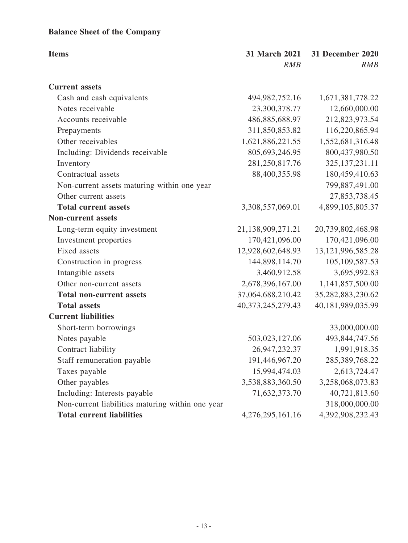# **Balance Sheet of the Company**

| <b>Items</b>                                     | 31 March 2021<br>RMB | <b>31 December 2020</b><br>RMB |
|--------------------------------------------------|----------------------|--------------------------------|
| <b>Current assets</b>                            |                      |                                |
| Cash and cash equivalents                        | 494, 982, 752. 16    | 1,671,381,778.22               |
| Notes receivable                                 | 23,300,378.77        | 12,660,000.00                  |
| Accounts receivable                              | 486,885,688.97       | 212,823,973.54                 |
| Prepayments                                      | 311,850,853.82       | 116,220,865.94                 |
| Other receivables                                | 1,621,886,221.55     | 1,552,681,316.48               |
| Including: Dividends receivable                  | 805,693,246.95       | 800,437,980.50                 |
| Inventory                                        | 281,250,817.76       | 325, 137, 231. 11              |
| Contractual assets                               | 88,400,355.98        | 180,459,410.63                 |
| Non-current assets maturing within one year      |                      | 799,887,491.00                 |
| Other current assets                             |                      | 27,853,738.45                  |
| <b>Total current assets</b>                      | 3,308,557,069.01     | 4,899,105,805.37               |
| <b>Non-current assets</b>                        |                      |                                |
| Long-term equity investment                      | 21,138,909,271.21    | 20,739,802,468.98              |
| Investment properties                            | 170,421,096.00       | 170,421,096.00                 |
| Fixed assets                                     | 12,928,602,648.93    | 13, 121, 996, 585. 28          |
| Construction in progress                         | 144,898,114.70       | 105, 109, 587. 53              |
| Intangible assets                                | 3,460,912.58         | 3,695,992.83                   |
| Other non-current assets                         | 2,678,396,167.00     | 1,141,857,500.00               |
| <b>Total non-current assets</b>                  | 37,064,688,210.42    | 35,282,883,230.62              |
| <b>Total assets</b>                              | 40,373,245,279.43    | 40,181,989,035.99              |
| <b>Current liabilities</b>                       |                      |                                |
| Short-term borrowings                            |                      | 33,000,000.00                  |
| Notes payable                                    | 503,023,127.06       | 493, 844, 747. 56              |
| Contract liability                               | 26,947,232.37        | 1,991,918.35                   |
| Staff remuneration payable                       | 191,446,967.20       | 285,389,768.22                 |
| Taxes payable                                    | 15,994,474.03        | 2,613,724.47                   |
| Other payables                                   | 3,538,883,360.50     | 3,258,068,073.83               |
| Including: Interests payable                     | 71,632,373.70        | 40,721,813.60                  |
| Non-current liabilities maturing within one year |                      | 318,000,000.00                 |
| <b>Total current liabilities</b>                 | 4,276,295,161.16     | 4,392,908,232.43               |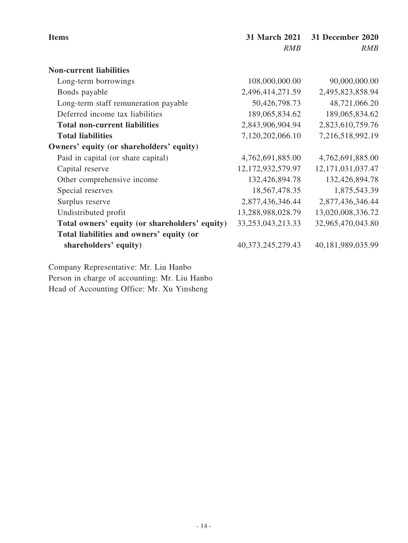| <b>Items</b>                                   | 31 March 2021         | 31 December 2020  |
|------------------------------------------------|-----------------------|-------------------|
|                                                | <i>RMB</i>            | <b>RMB</b>        |
| <b>Non-current liabilities</b>                 |                       |                   |
| Long-term borrowings                           | 108,000,000.00        | 90,000,000.00     |
| Bonds payable                                  | 2,496,414,271.59      | 2,495,823,858.94  |
| Long-term staff remuneration payable           | 50,426,798.73         | 48,721,066.20     |
| Deferred income tax liabilities                | 189,065,834.62        | 189,065,834.62    |
| <b>Total non-current liabilities</b>           | 2,843,906,904.94      | 2,823,610,759.76  |
| <b>Total liabilities</b>                       | 7,120,202,066.10      | 7,216,518,992.19  |
| Owners' equity (or shareholders' equity)       |                       |                   |
| Paid in capital (or share capital)             | 4,762,691,885.00      | 4,762,691,885.00  |
| Capital reserve                                | 12, 172, 932, 579. 97 | 12,171,031,037.47 |
| Other comprehensive income                     | 132,426,894.78        | 132,426,894.78    |
| Special reserves                               | 18, 567, 478. 35      | 1,875,543.39      |
| Surplus reserve                                | 2,877,436,346.44      | 2,877,436,346.44  |
| Undistributed profit                           | 13,288,988,028.79     | 13,020,008,336.72 |
| Total owners' equity (or shareholders' equity) | 33, 253, 043, 213. 33 | 32,965,470,043.80 |
| Total liabilities and owners' equity (or       |                       |                   |
| shareholders' equity)                          | 40, 373, 245, 279. 43 | 40,181,989,035.99 |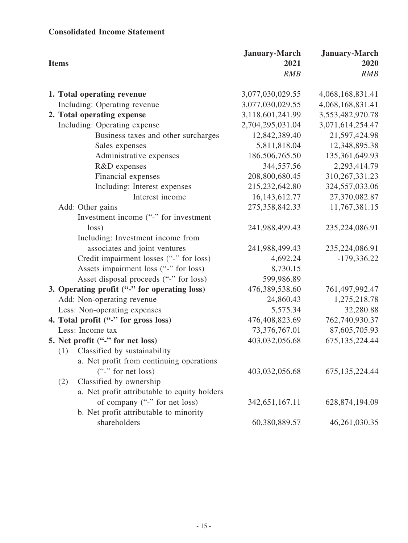## **Consolidated Income Statement**

| <b>Items</b> |                                              | <b>January-March</b><br>2021 | <b>January-March</b><br>2020 |
|--------------|----------------------------------------------|------------------------------|------------------------------|
|              |                                              | RMB                          | <b>RMB</b>                   |
|              | 1. Total operating revenue                   | 3,077,030,029.55             | 4,068,168,831.41             |
|              | Including: Operating revenue                 | 3,077,030,029.55             | 4,068,168,831.41             |
|              | 2. Total operating expense                   | 3,118,601,241.99             | 3,553,482,970.78             |
|              | Including: Operating expense                 | 2,704,295,031.04             | 3,071,614,254.47             |
|              | Business taxes and other surcharges          | 12,842,389.40                | 21,597,424.98                |
|              | Sales expenses                               | 5,811,818.04                 | 12,348,895.38                |
|              | Administrative expenses                      | 186,506,765.50               | 135,361,649.93               |
|              | R&D expenses                                 | 344,557.56                   | 2,293,414.79                 |
|              | Financial expenses                           | 208,800,680.45               | 310, 267, 331. 23            |
|              | Including: Interest expenses                 | 215,232,642.80               | 324,557,033.06               |
|              | Interest income                              | 16,143,612.77                | 27,370,082.87                |
|              | Add: Other gains                             | 275,358,842.33               | 11,767,381.15                |
|              | Investment income ("-" for investment        |                              |                              |
|              | loss)                                        | 241,988,499.43               | 235,224,086.91               |
|              | Including: Investment income from            |                              |                              |
|              | associates and joint ventures                | 241,988,499.43               | 235,224,086.91               |
|              | Credit impairment losses ("-" for loss)      | 4,692.24                     | $-179,336.22$                |
|              | Assets impairment loss ("-" for loss)        | 8,730.15                     |                              |
|              | Asset disposal proceeds ("-" for loss)       | 599,986.89                   |                              |
|              | 3. Operating profit ("-" for operating loss) | 476,389,538.60               | 761,497,992.47               |
|              | Add: Non-operating revenue                   | 24,860.43                    | 1,275,218.78                 |
|              | Less: Non-operating expenses                 | 5,575.34                     | 32,280.88                    |
|              | 4. Total profit ("-" for gross loss)         | 476,408,823.69               | 762,740,930.37               |
|              | Less: Income tax                             | 73,376,767.01                | 87,605,705.93                |
|              | 5. Net profit ("-" for net loss)             | 403,032,056.68               | 675, 135, 224. 44            |
| (1)          | Classified by sustainability                 |                              |                              |
|              | a. Net profit from continuing operations     |                              |                              |
|              | $($ "-" for net loss)                        | 403,032,056.68               | 675, 135, 224. 44            |
| (2)          | Classified by ownership                      |                              |                              |
|              | a. Net profit attributable to equity holders |                              |                              |
|              | of company ("-" for net loss)                | 342, 651, 167. 11            | 628,874,194.09               |
|              | b. Net profit attributable to minority       |                              |                              |
|              | shareholders                                 | 60,380,889.57                | 46,261,030.35                |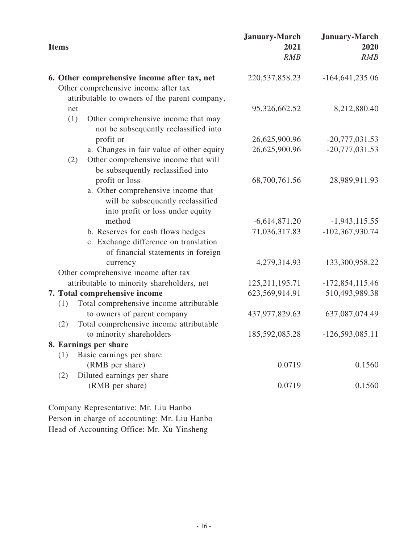| <b>Items</b>                                                                                                                          | <b>January-March</b><br>2021<br>RMB | January-March<br>2020<br><b>RMB</b> |
|---------------------------------------------------------------------------------------------------------------------------------------|-------------------------------------|-------------------------------------|
| 6. Other comprehensive income after tax, net<br>Other comprehensive income after tax<br>attributable to owners of the parent company, | 220, 537, 858. 23                   | $-164,641,235.06$                   |
| net                                                                                                                                   | 95,326,662.52                       | 8,212,880.40                        |
| (1)<br>Other comprehensive income that may<br>not be subsequently reclassified into                                                   |                                     |                                     |
| profit or                                                                                                                             | 26,625,900.96                       | $-20,777,031.53$                    |
| a. Changes in fair value of other equity<br>Other comprehensive income that will<br>(2)<br>be subsequently reclassified into          | 26,625,900.96                       | $-20,777,031.53$                    |
| profit or loss<br>a. Other comprehensive income that<br>will be subsequently reclassified<br>into profit or loss under equity         | 68,700,761.56                       | 28,989,911.93                       |
| method                                                                                                                                | $-6,614,871.20$                     | $-1,943,115.55$                     |
| b. Reserves for cash flows hedges<br>c. Exchange difference on translation<br>of financial statements in foreign                      | 71,036,317.83                       | $-102,367,930.74$                   |
| currency                                                                                                                              | 4,279,314.93                        | 133,300,958.22                      |
| Other comprehensive income after tax                                                                                                  |                                     |                                     |
| attributable to minority shareholders, net                                                                                            | 125, 211, 195. 71                   | $-172,854,115.46$                   |
| 7. Total comprehensive income<br>Total comprehensive income attributable<br>(1)                                                       | 623,569,914.91                      | 510,493,989.38                      |
| to owners of parent company<br>Total comprehensive income attributable<br>(2)                                                         | 437,977,829.63                      | 637,087,074.49                      |
| to minority shareholders                                                                                                              | 185,592,085.28                      | $-126,593,085.11$                   |
| 8. Earnings per share                                                                                                                 |                                     |                                     |
| Basic earnings per share<br>(1)                                                                                                       |                                     |                                     |
| (RMB per share)                                                                                                                       | 0.0719                              | 0.1560                              |
| Diluted earnings per share<br>(2)<br>(RMB per share)                                                                                  | 0.0719                              | 0.1560                              |
| Company Representative: Mr. Liu Hanbo                                                                                                 |                                     |                                     |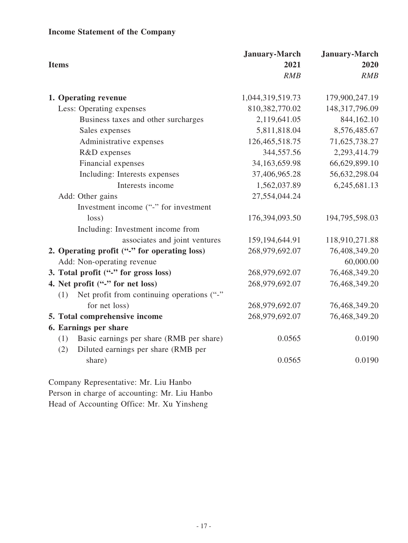# **Income Statement of the Company**

| <b>Items</b>                                      | <b>January-March</b><br>2021 | <b>January-March</b><br>2020 |
|---------------------------------------------------|------------------------------|------------------------------|
|                                                   | RMB                          | RMB                          |
| 1. Operating revenue                              | 1,044,319,519.73             | 179,900,247.19               |
| Less: Operating expenses                          | 810,382,770.02               | 148,317,796.09               |
| Business taxes and other surcharges               | 2,119,641.05                 | 844,162.10                   |
| Sales expenses                                    | 5,811,818.04                 | 8,576,485.67                 |
| Administrative expenses                           | 126,465,518.75               | 71,625,738.27                |
| R&D expenses                                      | 344,557.56                   | 2,293,414.79                 |
| Financial expenses                                | 34,163,659.98                | 66,629,899.10                |
| Including: Interests expenses                     | 37,406,965.28                | 56,632,298.04                |
| Interests income                                  | 1,562,037.89                 | 6,245,681.13                 |
| Add: Other gains                                  | 27,554,044.24                |                              |
| Investment income ("-" for investment             |                              |                              |
| loss)                                             | 176,394,093.50               | 194,795,598.03               |
| Including: Investment income from                 |                              |                              |
| associates and joint ventures                     | 159, 194, 644. 91            | 118,910,271.88               |
| 2. Operating profit ("-" for operating loss)      | 268,979,692.07               | 76,408,349.20                |
| Add: Non-operating revenue                        |                              | 60,000.00                    |
| 3. Total profit ("-" for gross loss)              | 268,979,692.07               | 76,468,349.20                |
| 4. Net profit ("-" for net loss)                  | 268,979,692.07               | 76,468,349.20                |
| Net profit from continuing operations ("-"<br>(1) |                              |                              |
| for net loss)                                     | 268,979,692.07               | 76,468,349.20                |
| 5. Total comprehensive income                     | 268,979,692.07               | 76,468,349.20                |
| 6. Earnings per share                             |                              |                              |
| (1)<br>Basic earnings per share (RMB per share)   | 0.0565                       | 0.0190                       |
| Diluted earnings per share (RMB per<br>(2)        |                              |                              |
| share)                                            | 0.0565                       | 0.0190                       |
|                                                   |                              |                              |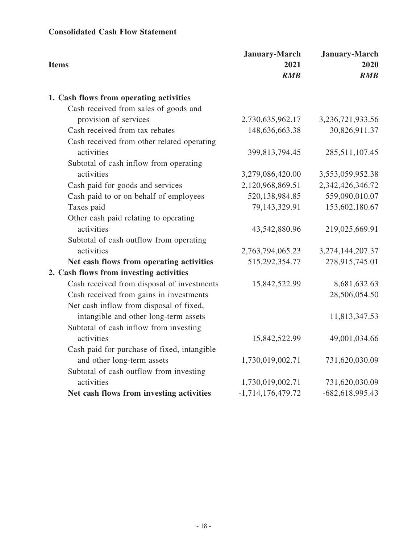## **Consolidated Cash Flow Statement**

| <b>Items</b>                                | <b>January-March</b><br>2021<br>RMB | <b>January-March</b><br>2020<br>RMB |
|---------------------------------------------|-------------------------------------|-------------------------------------|
| 1. Cash flows from operating activities     |                                     |                                     |
| Cash received from sales of goods and       |                                     |                                     |
| provision of services                       | 2,730,635,962.17                    | 3,236,721,933.56                    |
| Cash received from tax rebates              | 148,636,663.38                      | 30,826,911.37                       |
| Cash received from other related operating  |                                     |                                     |
| activities                                  | 399,813,794.45                      | 285,511,107.45                      |
| Subtotal of cash inflow from operating      |                                     |                                     |
| activities                                  | 3,279,086,420.00                    | 3,553,059,952.38                    |
| Cash paid for goods and services            | 2,120,968,869.51                    | 2,342,426,346.72                    |
| Cash paid to or on behalf of employees      | 520,138,984.85                      | 559,090,010.07                      |
| Taxes paid                                  | 79,143,329.91                       | 153,602,180.67                      |
| Other cash paid relating to operating       |                                     |                                     |
| activities                                  | 43,542,880.96                       | 219,025,669.91                      |
| Subtotal of cash outflow from operating     |                                     |                                     |
| activities                                  | 2,763,794,065.23                    | 3,274,144,207.37                    |
| Net cash flows from operating activities    | 515,292,354.77                      | 278,915,745.01                      |
| 2. Cash flows from investing activities     |                                     |                                     |
| Cash received from disposal of investments  | 15,842,522.99                       | 8,681,632.63                        |
| Cash received from gains in investments     |                                     | 28,506,054.50                       |
| Net cash inflow from disposal of fixed,     |                                     |                                     |
| intangible and other long-term assets       |                                     | 11,813,347.53                       |
| Subtotal of cash inflow from investing      |                                     |                                     |
| activities                                  | 15,842,522.99                       | 49,001,034.66                       |
| Cash paid for purchase of fixed, intangible |                                     |                                     |
| and other long-term assets                  | 1,730,019,002.71                    | 731,620,030.09                      |
| Subtotal of cash outflow from investing     |                                     |                                     |
| activities                                  | 1,730,019,002.71                    | 731,620,030.09                      |
| Net cash flows from investing activities    | $-1,714,176,479.72$                 | $-682,618,995.43$                   |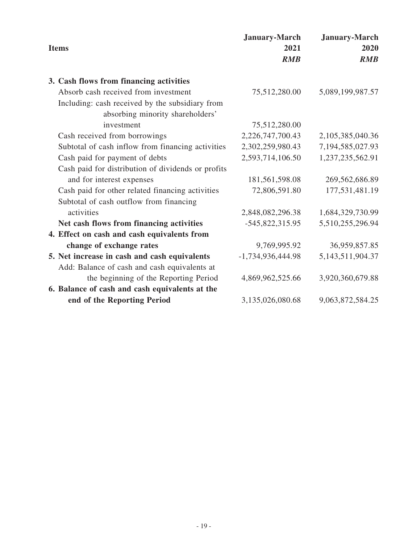| <b>Items</b>                                       | <b>January-March</b><br>2021<br>RMB | <b>January-March</b><br>2020<br>RMB |
|----------------------------------------------------|-------------------------------------|-------------------------------------|
| 3. Cash flows from financing activities            |                                     |                                     |
| Absorb cash received from investment               | 75,512,280.00                       | 5,089,199,987.57                    |
| Including: cash received by the subsidiary from    |                                     |                                     |
| absorbing minority shareholders'                   |                                     |                                     |
| investment                                         | 75,512,280.00                       |                                     |
| Cash received from borrowings                      | 2,226,747,700.43                    | 2,105,385,040.36                    |
| Subtotal of cash inflow from financing activities  | 2,302,259,980.43                    | 7,194,585,027.93                    |
| Cash paid for payment of debts                     | 2,593,714,106.50                    | 1,237,235,562.91                    |
| Cash paid for distribution of dividends or profits |                                     |                                     |
| and for interest expenses                          | 181,561,598.08                      | 269,562,686.89                      |
| Cash paid for other related financing activities   | 72,806,591.80                       | 177,531,481.19                      |
| Subtotal of cash outflow from financing            |                                     |                                     |
| activities                                         | 2,848,082,296.38                    | 1,684,329,730.99                    |
| Net cash flows from financing activities           | -545,822,315.95                     | 5,510,255,296.94                    |
| 4. Effect on cash and cash equivalents from        |                                     |                                     |
| change of exchange rates                           | 9,769,995.92                        | 36,959,857.85                       |
| 5. Net increase in cash and cash equivalents       | $-1,734,936,444.98$                 | 5, 143, 511, 904. 37                |
| Add: Balance of cash and cash equivalents at       |                                     |                                     |
| the beginning of the Reporting Period              | 4,869,962,525.66                    | 3,920,360,679.88                    |
| 6. Balance of cash and cash equivalents at the     |                                     |                                     |
| end of the Reporting Period                        | 3,135,026,080.68                    | 9,063,872,584.25                    |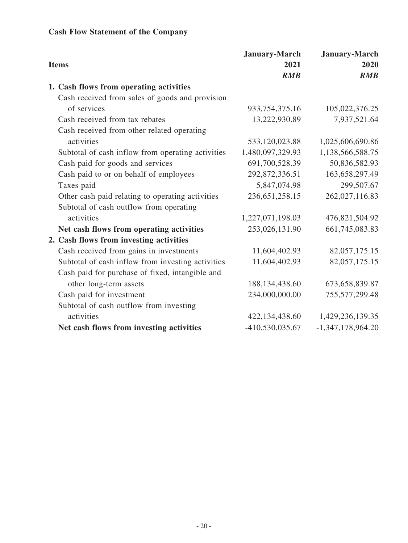# **Cash Flow Statement of the Company**

| <b>Items</b>                                      | <b>January-March</b><br>2021 | <b>January-March</b><br>2020 |
|---------------------------------------------------|------------------------------|------------------------------|
|                                                   | RMB                          | RMB                          |
| 1. Cash flows from operating activities           |                              |                              |
| Cash received from sales of goods and provision   |                              |                              |
| of services                                       | 933, 754, 375. 16            | 105,022,376.25               |
| Cash received from tax rebates                    | 13,222,930.89                | 7,937,521.64                 |
| Cash received from other related operating        |                              |                              |
| activities                                        | 533,120,023.88               | 1,025,606,690.86             |
| Subtotal of cash inflow from operating activities | 1,480,097,329.93             | 1,138,566,588.75             |
| Cash paid for goods and services                  | 691,700,528.39               | 50,836,582.93                |
| Cash paid to or on behalf of employees            | 292,872,336.51               | 163,658,297.49               |
| Taxes paid                                        | 5,847,074.98                 | 299,507.67                   |
| Other cash paid relating to operating activities  | 236, 651, 258. 15            | 262,027,116.83               |
| Subtotal of cash outflow from operating           |                              |                              |
| activities                                        | 1,227,071,198.03             | 476,821,504.92               |
| Net cash flows from operating activities          | 253,026,131.90               | 661,745,083.83               |
| 2. Cash flows from investing activities           |                              |                              |
| Cash received from gains in investments           | 11,604,402.93                | 82,057,175.15                |
| Subtotal of cash inflow from investing activities | 11,604,402.93                | 82,057,175.15                |
| Cash paid for purchase of fixed, intangible and   |                              |                              |
| other long-term assets                            | 188, 134, 438.60             | 673, 658, 839. 87            |
| Cash paid for investment                          | 234,000,000.00               | 755,577,299.48               |
| Subtotal of cash outflow from investing           |                              |                              |
| activities                                        | 422,134,438.60               | 1,429,236,139.35             |
| Net cash flows from investing activities          | -410,530,035.67              | $-1,347,178,964.20$          |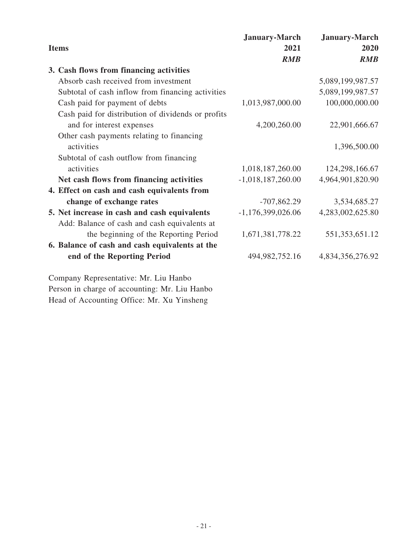|                                                    | <b>January-March</b> | <b>January-March</b> |
|----------------------------------------------------|----------------------|----------------------|
| <b>Items</b>                                       | 2021                 | 2020                 |
|                                                    | <b>RMB</b>           | <b>RMB</b>           |
| 3. Cash flows from financing activities            |                      |                      |
| Absorb cash received from investment               |                      | 5,089,199,987.57     |
| Subtotal of cash inflow from financing activities  |                      | 5,089,199,987.57     |
| Cash paid for payment of debts                     | 1,013,987,000.00     | 100,000,000.00       |
| Cash paid for distribution of dividends or profits |                      |                      |
| and for interest expenses                          | 4,200,260.00         | 22,901,666.67        |
| Other cash payments relating to financing          |                      |                      |
| activities                                         |                      | 1,396,500.00         |
| Subtotal of cash outflow from financing            |                      |                      |
| activities                                         | 1,018,187,260.00     | 124,298,166.67       |
| Net cash flows from financing activities           | $-1,018,187,260.00$  | 4,964,901,820.90     |
| 4. Effect on cash and cash equivalents from        |                      |                      |
| change of exchange rates                           | $-707,862.29$        | 3,534,685.27         |
| 5. Net increase in cash and cash equivalents       | $-1,176,399,026.06$  | 4,283,002,625.80     |
| Add: Balance of cash and cash equivalents at       |                      |                      |
| the beginning of the Reporting Period              | 1,671,381,778.22     | 551, 353, 651. 12    |
| 6. Balance of cash and cash equivalents at the     |                      |                      |
| end of the Reporting Period                        | 494, 982, 752. 16    | 4,834,356,276.92     |
|                                                    |                      |                      |